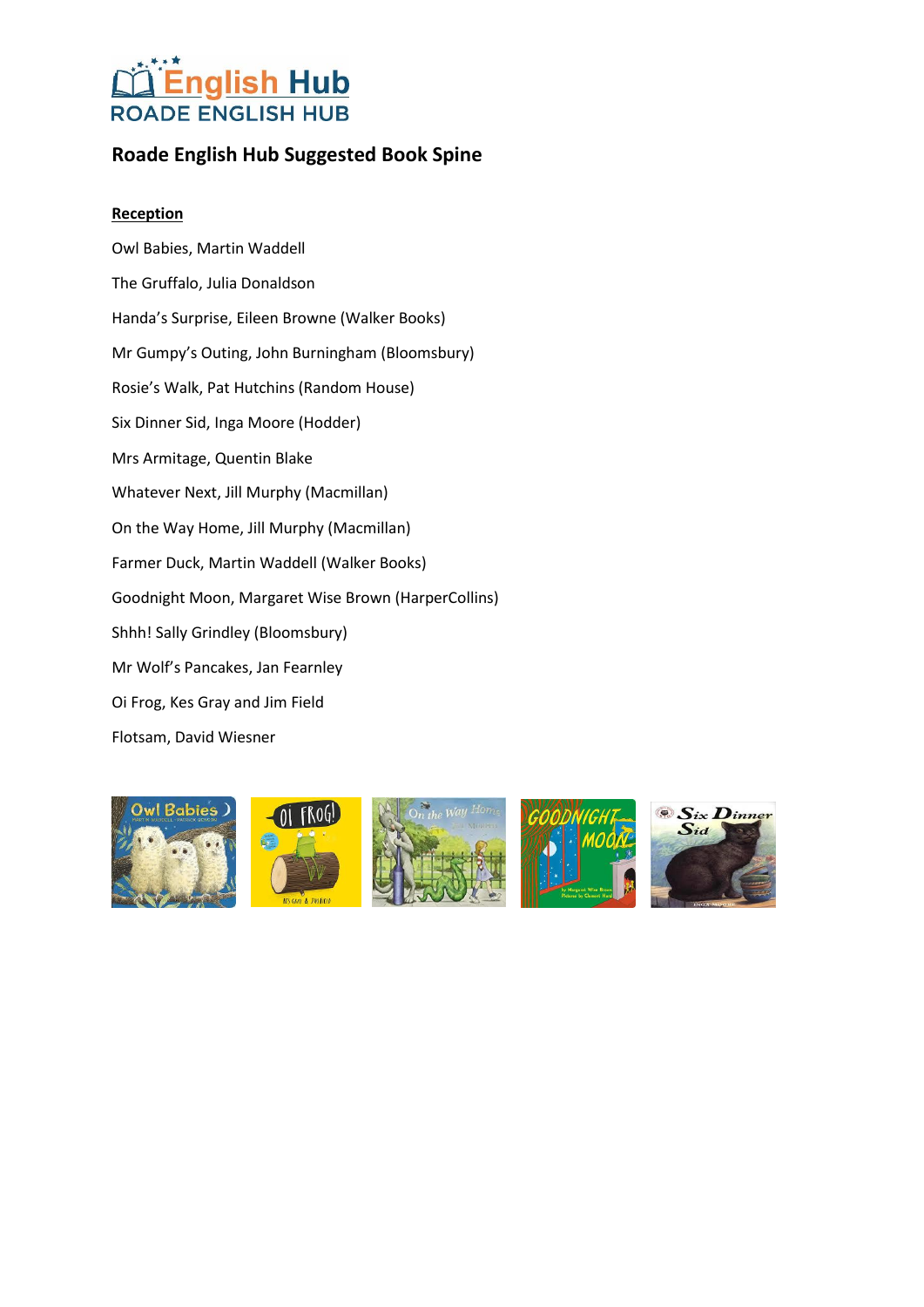## **Roade English Hub Suggested Book Spine**

#### **Reception**

Owl Babies, Martin Waddell The Gruffalo, Julia Donaldson Handa's Surprise, Eileen Browne (Walker Books) Mr Gumpy's Outing, John Burningham (Bloomsbury) Rosie's Walk, Pat Hutchins (Random House) Six Dinner Sid, Inga Moore (Hodder) Mrs Armitage, Quentin Blake Whatever Next, Jill Murphy (Macmillan) On the Way Home, Jill Murphy (Macmillan) Farmer Duck, Martin Waddell (Walker Books) Goodnight Moon, Margaret Wise Brown (HarperCollins) Shhh! Sally Grindley (Bloomsbury) Mr Wolf's Pancakes, Jan Fearnley Oi Frog, Kes Gray and Jim Field Flotsam, David Wiesner

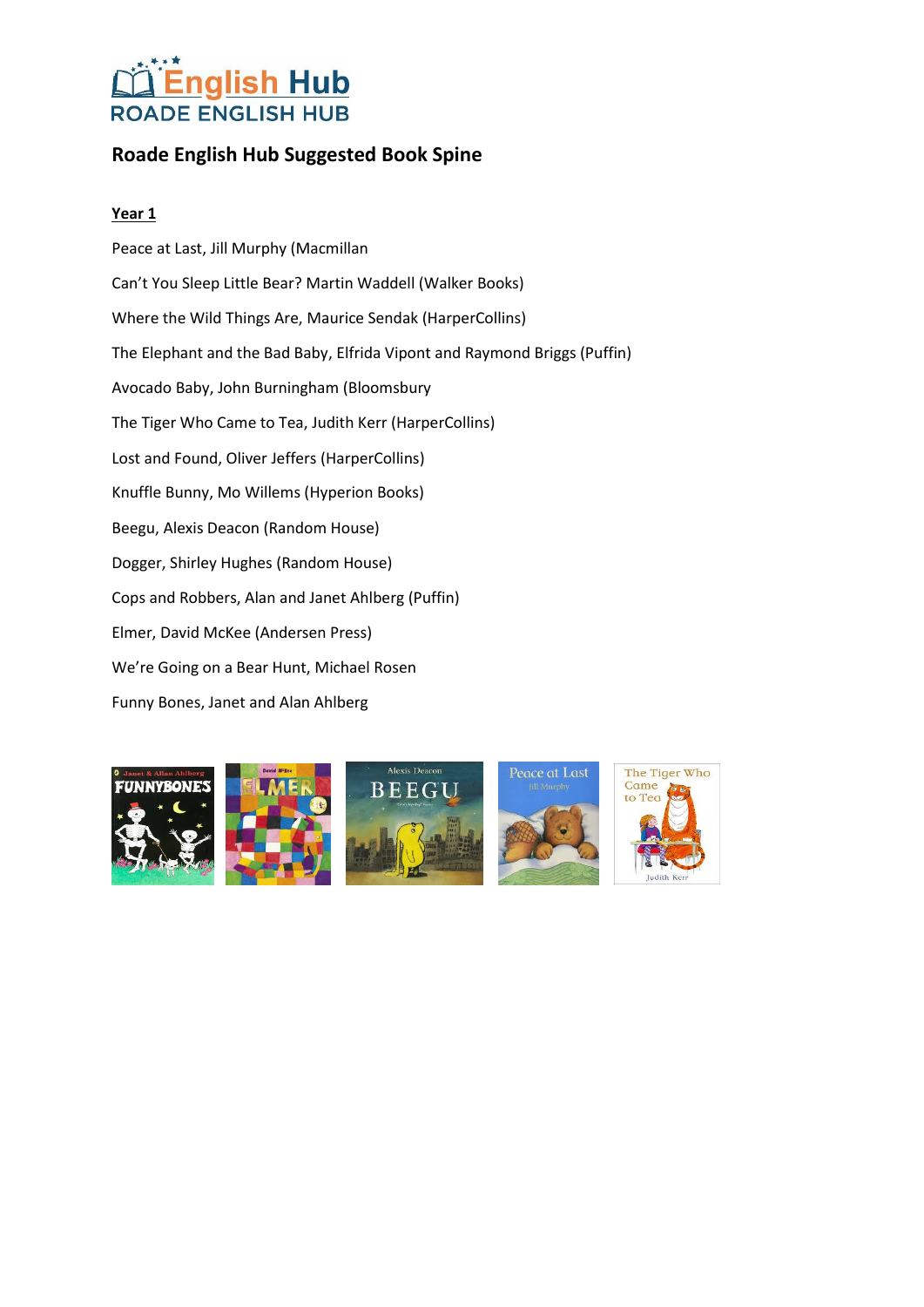## **Roade English Hub Suggested Book Spine**

### **Year 1**

Peace at Last, Jill Murphy (Macmillan Can't You Sleep Little Bear? Martin Waddell (Walker Books) Where the Wild Things Are, Maurice Sendak (HarperCollins) The Elephant and the Bad Baby, Elfrida Vipont and Raymond Briggs (Puffin) Avocado Baby, John Burningham (Bloomsbury The Tiger Who Came to Tea, Judith Kerr (HarperCollins) Lost and Found, Oliver Jeffers (HarperCollins) Knuffle Bunny, Mo Willems (Hyperion Books) Beegu, Alexis Deacon (Random House) Dogger, Shirley Hughes (Random House) Cops and Robbers, Alan and Janet Ahlberg (Puffin) Elmer, David McKee (Andersen Press) We're Going on a Bear Hunt, Michael Rosen Funny Bones, Janet and Alan Ahlberg









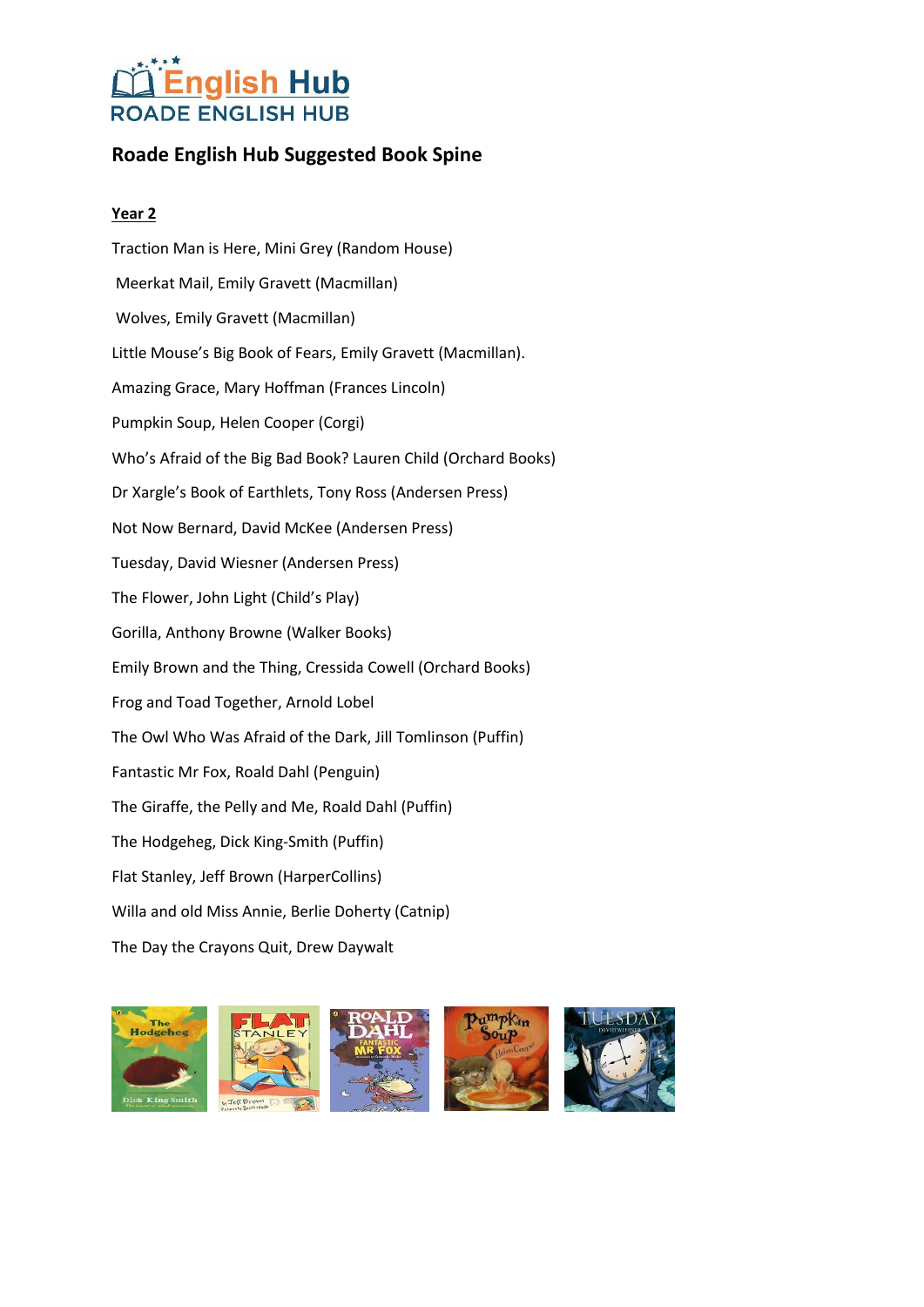### **Roade English Hub Suggested Book Spine**

### **Year 2**

Traction Man is Here, Mini Grey (Random House) Meerkat Mail, Emily Gravett (Macmillan) Wolves, Emily Gravett (Macmillan) Little Mouse's Big Book of Fears, Emily Gravett (Macmillan). Amazing Grace, Mary Hoffman (Frances Lincoln) Pumpkin Soup, Helen Cooper (Corgi) Who's Afraid of the Big Bad Book? Lauren Child (Orchard Books) Dr Xargle's Book of Earthlets, Tony Ross (Andersen Press) Not Now Bernard, David McKee (Andersen Press) Tuesday, David Wiesner (Andersen Press) The Flower, John Light (Child's Play) Gorilla, Anthony Browne (Walker Books) Emily Brown and the Thing, Cressida Cowell (Orchard Books) Frog and Toad Together, Arnold Lobel The Owl Who Was Afraid of the Dark, Jill Tomlinson (Puffin) Fantastic Mr Fox, Roald Dahl (Penguin) The Giraffe, the Pelly and Me, Roald Dahl (Puffin) The Hodgeheg, Dick King-Smith (Puffin) Flat Stanley, Jeff Brown (HarperCollins) Willa and old Miss Annie, Berlie Doherty (Catnip) The Day the Crayons Quit, Drew Daywalt

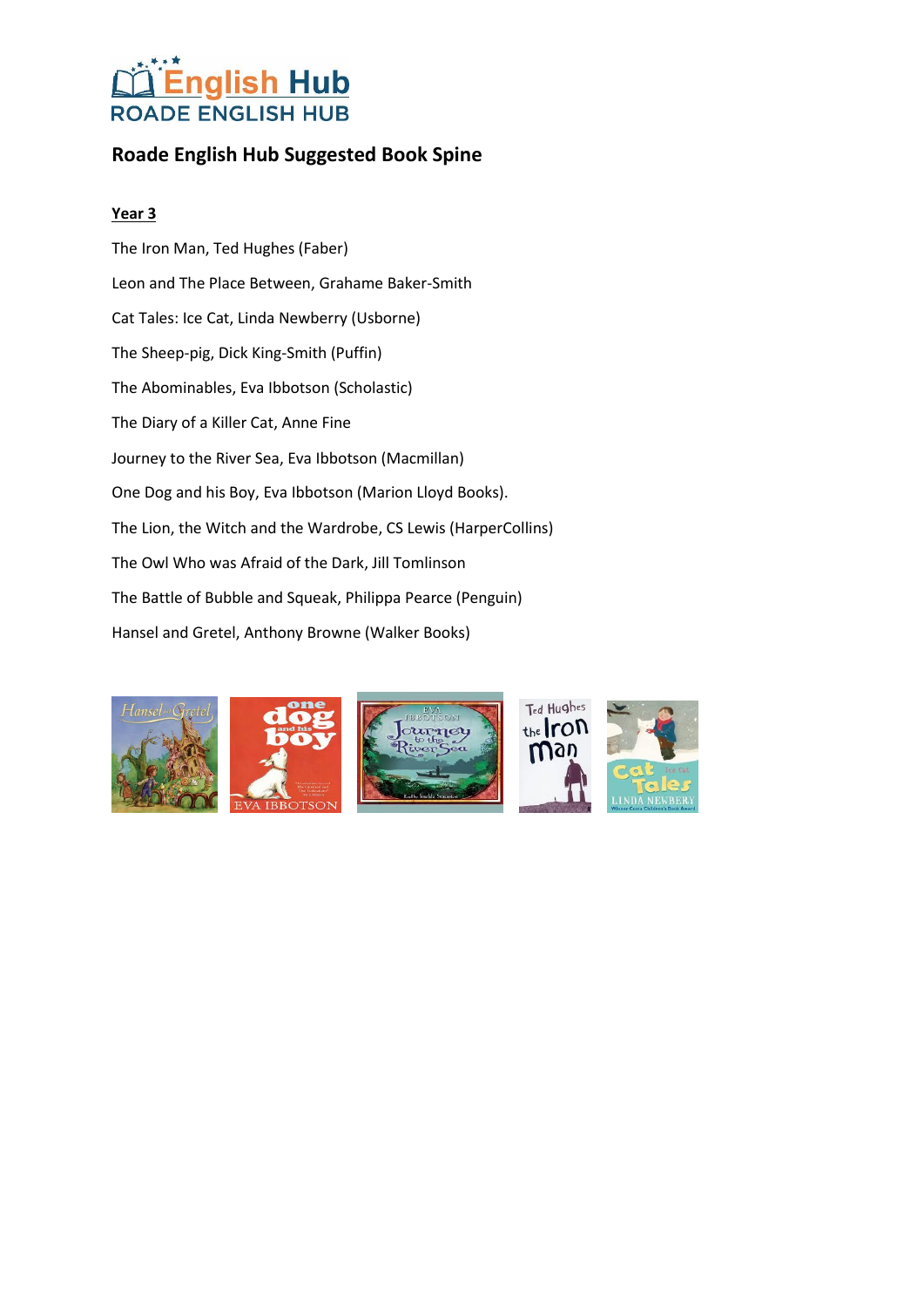## **Roade English Hub Suggested Book Spine**

### **Year 3**

The Iron Man, Ted Hughes (Faber) Leon and The Place Between, Grahame Baker-Smith Cat Tales: Ice Cat, Linda Newberry (Usborne) The Sheep-pig, Dick King-Smith (Puffin) The Abominables, Eva Ibbotson (Scholastic) The Diary of a Killer Cat, Anne Fine Journey to the River Sea, Eva Ibbotson (Macmillan) One Dog and his Boy, Eva Ibbotson (Marion Lloyd Books). The Lion, the Witch and the Wardrobe, CS Lewis (HarperCollins) The Owl Who was Afraid of the Dark, Jill Tomlinson The Battle of Bubble and Squeak, Philippa Pearce (Penguin) Hansel and Gretel, Anthony Browne (Walker Books)

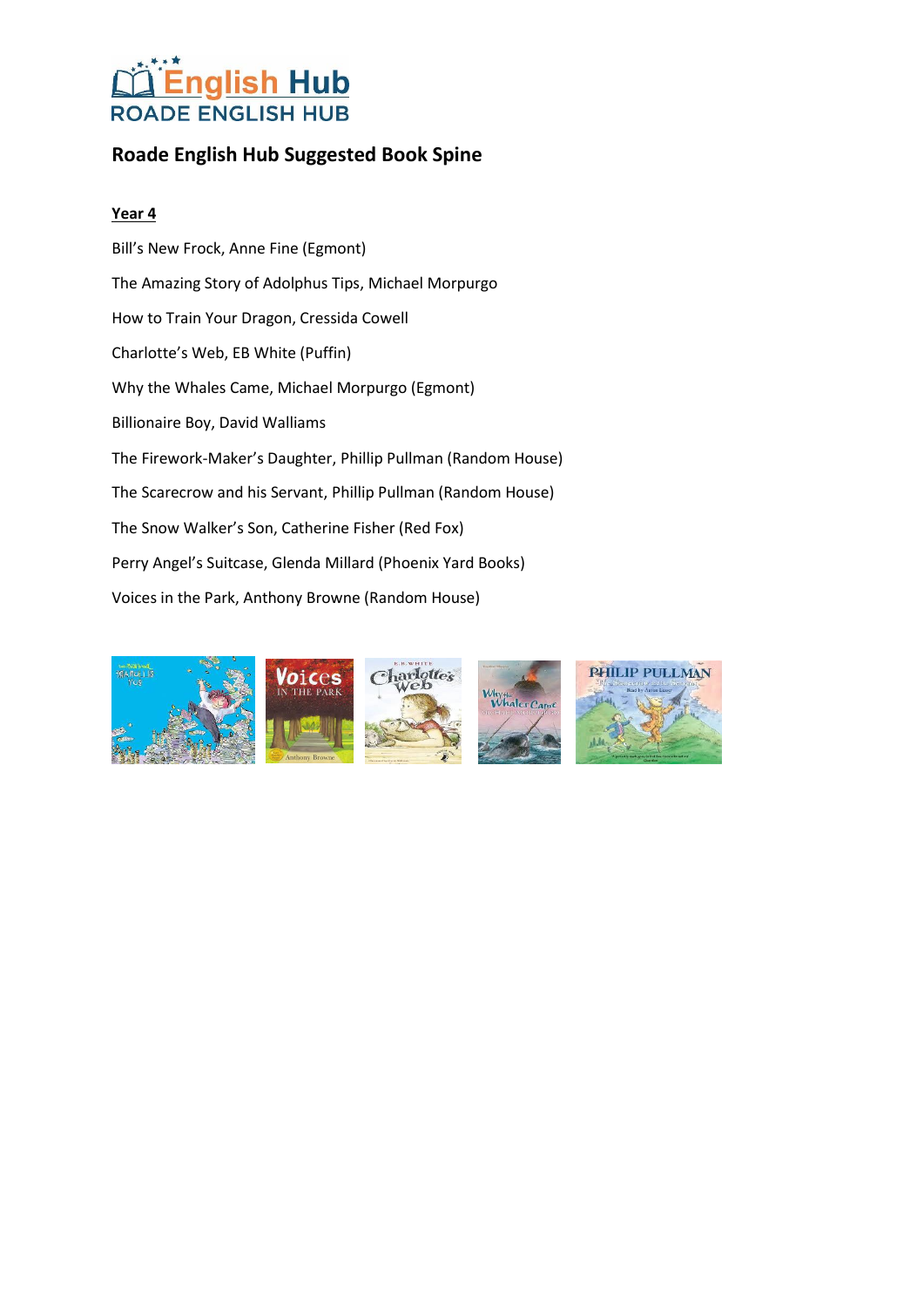## **Roade English Hub Suggested Book Spine**

### **Year 4**

Bill's New Frock, Anne Fine (Egmont) The Amazing Story of Adolphus Tips, Michael Morpurgo How to Train Your Dragon, Cressida Cowell Charlotte's Web, EB White (Puffin) Why the Whales Came, Michael Morpurgo (Egmont) Billionaire Boy, David Walliams The Firework-Maker's Daughter, Phillip Pullman (Random House) The Scarecrow and his Servant, Phillip Pullman (Random House) The Snow Walker's Son, Catherine Fisher (Red Fox) Perry Angel's Suitcase, Glenda Millard (Phoenix Yard Books) Voices in the Park, Anthony Browne (Random House)

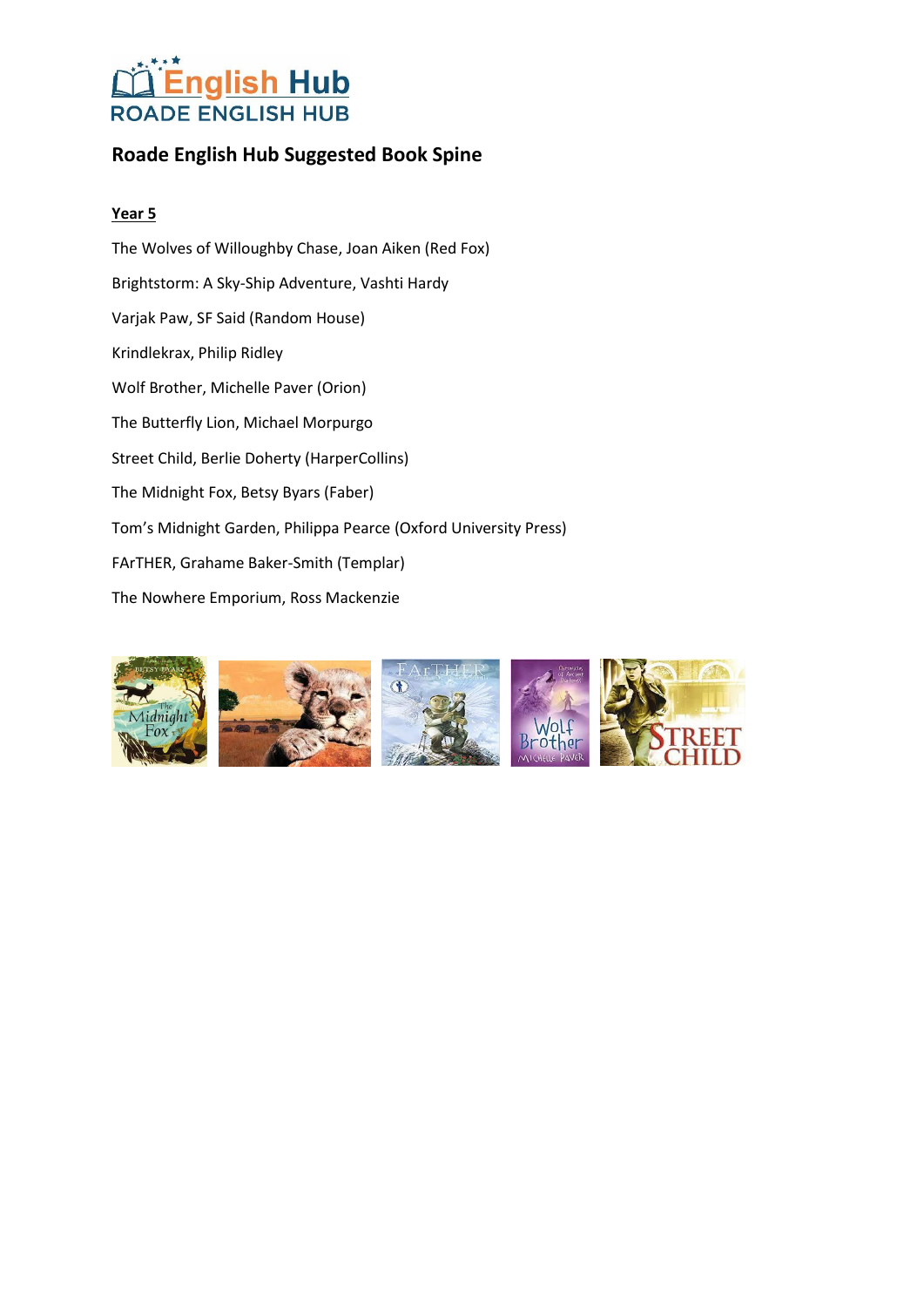## **Roade English Hub Suggested Book Spine**

### **Year 5**

The Wolves of Willoughby Chase, Joan Aiken (Red Fox) Brightstorm: A Sky-Ship Adventure, Vashti Hardy Varjak Paw, SF Said (Random House) Krindlekrax, Philip Ridley Wolf Brother, Michelle Paver (Orion) The Butterfly Lion, Michael Morpurgo Street Child, Berlie Doherty (HarperCollins) The Midnight Fox, Betsy Byars (Faber) Tom's Midnight Garden, Philippa Pearce (Oxford University Press) FArTHER, Grahame Baker-Smith (Templar) The Nowhere Emporium, Ross Mackenzie

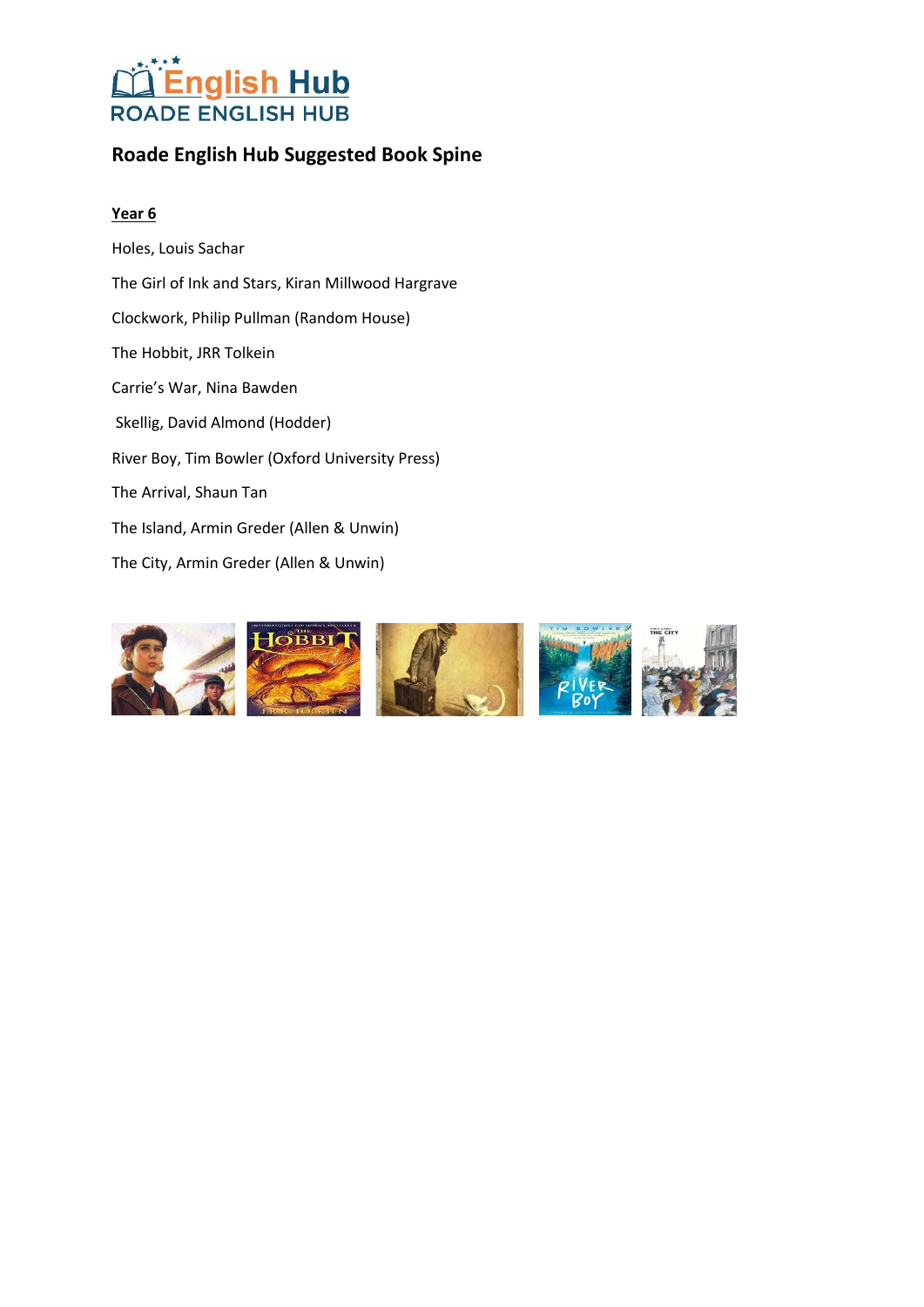

## **Roade English Hub Suggested Book Spine**

#### **Year 6**

Holes, Louis Sachar The Girl of Ink and Stars, Kiran Millwood Hargrave Clockwork, Philip Pullman (Random House) The Hobbit, JRR Tolkein Carrie's War, Nina Bawden Skellig, David Almond (Hodder) River Boy, Tim Bowler (Oxford University Press) The Arrival, Shaun Tan The Island, Armin Greder (Allen & Unwin) The City, Armin Greder (Allen & Unwin)